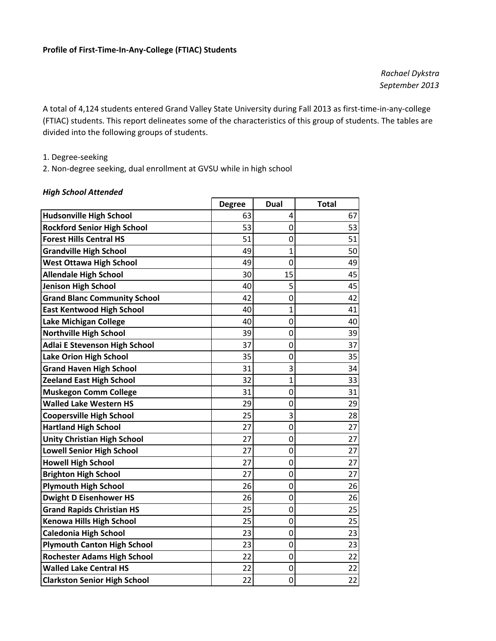*Rachael Dykstra September 2013*

A total of 4,124 students entered Grand Valley State University during Fall 2013 as first‐time‐in‐any‐college (FTIAC) students. This report delineates some of the characteristics of this group of students. The tables are divided into the following groups of students.

1. Degree‐seeking

2. Non‐degree seeking, dual enrollment at GVSU while in high school

#### *High School Attended*

|                                      | <b>Degree</b> | <b>Dual</b>  | <b>Total</b> |
|--------------------------------------|---------------|--------------|--------------|
| <b>Hudsonville High School</b>       | 63            | 4            | 67           |
| <b>Rockford Senior High School</b>   | 53            | 0            | 53           |
| <b>Forest Hills Central HS</b>       | 51            | 0            | 51           |
| <b>Grandville High School</b>        | 49            | $\mathbf{1}$ | 50           |
| <b>West Ottawa High School</b>       | 49            | 0            | 49           |
| <b>Allendale High School</b>         | 30            | 15           | 45           |
| <b>Jenison High School</b>           | 40            | 5            | 45           |
| <b>Grand Blanc Community School</b>  | 42            | 0            | 42           |
| <b>East Kentwood High School</b>     | 40            | $\mathbf{1}$ | 41           |
| <b>Lake Michigan College</b>         | 40            | 0            | 40           |
| <b>Northville High School</b>        | 39            | 0            | 39           |
| <b>Adlai E Stevenson High School</b> | 37            | 0            | 37           |
| <b>Lake Orion High School</b>        | 35            | 0            | 35           |
| <b>Grand Haven High School</b>       | 31            | 3            | 34           |
| <b>Zeeland East High School</b>      | 32            | $\mathbf{1}$ | 33           |
| <b>Muskegon Comm College</b>         | 31            | 0            | 31           |
| <b>Walled Lake Western HS</b>        | 29            | 0            | 29           |
| <b>Coopersville High School</b>      | 25            | 3            | 28           |
| <b>Hartland High School</b>          | 27            | 0            | 27           |
| <b>Unity Christian High School</b>   | 27            | 0            | 27           |
| <b>Lowell Senior High School</b>     | 27            | 0            | 27           |
| <b>Howell High School</b>            | 27            | 0            | 27           |
| <b>Brighton High School</b>          | 27            | 0            | 27           |
| <b>Plymouth High School</b>          | 26            | 0            | 26           |
| <b>Dwight D Eisenhower HS</b>        | 26            | 0            | 26           |
| <b>Grand Rapids Christian HS</b>     | 25            | 0            | 25           |
| Kenowa Hills High School             | 25            | 0            | 25           |
| <b>Caledonia High School</b>         | 23            | 0            | 23           |
| <b>Plymouth Canton High School</b>   | 23            | 0            | 23           |
| <b>Rochester Adams High School</b>   | 22            | 0            | 22           |
| <b>Walled Lake Central HS</b>        | 22            | 0            | 22           |
| <b>Clarkston Senior High School</b>  | 22            | 0            | 22           |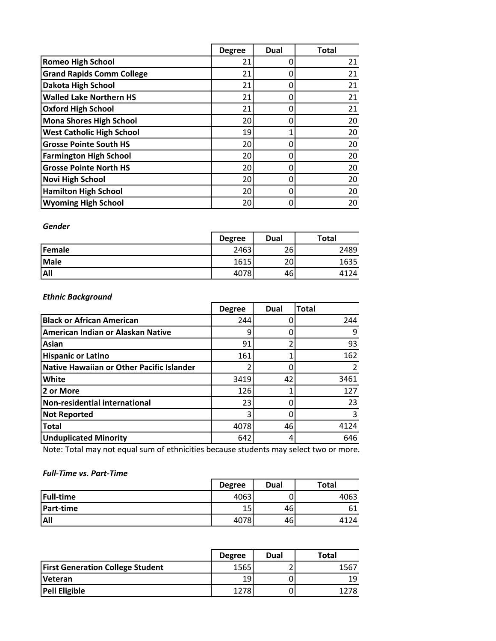|                                  | <b>Degree</b> | Dual | <b>Total</b> |
|----------------------------------|---------------|------|--------------|
| <b>Romeo High School</b>         | 21            |      | 21           |
| <b>Grand Rapids Comm College</b> | 21            |      | 21           |
| <b>Dakota High School</b>        | 21            |      | 21           |
| <b>Walled Lake Northern HS</b>   | 21            |      | 21           |
| <b>Oxford High School</b>        | 21            |      | 21           |
| <b>Mona Shores High School</b>   | 20            |      | 20           |
| <b>West Catholic High School</b> | 19            |      | 20           |
| <b>Grosse Pointe South HS</b>    | 20            |      | 20           |
| <b>Farmington High School</b>    | 20            |      | 20           |
| <b>Grosse Pointe North HS</b>    | 20            |      | 20           |
| <b>Novi High School</b>          | 20            |      | 20           |
| <b>Hamilton High School</b>      | 20            |      | 20           |
| <b>Wyoming High School</b>       | 20            |      | 20           |

#### *Gender*

|             | <b>Degree</b> | <b>Dual</b> | <b>Total</b> |
|-------------|---------------|-------------|--------------|
| Female      | 2463          | 26          | 2489         |
| <b>Male</b> | 1615          | 20          | 1635         |
| <b>All</b>  | 4078          | 46          | ′24⊥         |

# *Ethnic Background*

|                                           | <b>Degree</b> | Dual | <b>Total</b> |
|-------------------------------------------|---------------|------|--------------|
| <b>Black or African American</b>          | 244           |      | 244          |
| American Indian or Alaskan Native         |               |      | 9            |
| Asian                                     | 91            |      | 93           |
| <b>Hispanic or Latino</b>                 | 161           |      | 162          |
| Native Hawaiian or Other Pacific Islander |               |      | 2            |
| White                                     | 3419          | 42   | 3461         |
| 2 or More                                 | 126           |      | 127          |
| <b>Non-residential international</b>      | 23            |      | 23           |
| <b>Not Reported</b>                       |               |      | 3            |
| <b>Total</b>                              | 4078          | 46   | 4124         |
| <b>Unduplicated Minority</b>              | 642           |      | 646          |

Note: Total may not equal sum of ethnicities because students may select two or more.

#### *Full‐Time vs. Part‐Time*

|                  | <b>Degree</b> | <b>Dual</b> | Total |
|------------------|---------------|-------------|-------|
| <b>Full-time</b> | 4063          |             | 4063  |
| Part-time        | 15            | 46          | 61    |
| All              | 4078          | 46          | 24    |

|                                         | <b>Degree</b> | <b>Dual</b> | <b>Total</b> |
|-----------------------------------------|---------------|-------------|--------------|
| <b>First Generation College Student</b> | 1565          |             | .567         |
| <b>lVeteran</b>                         | 19            |             | 19           |
| <b>Pell Eligible</b>                    | 1278          |             | .78          |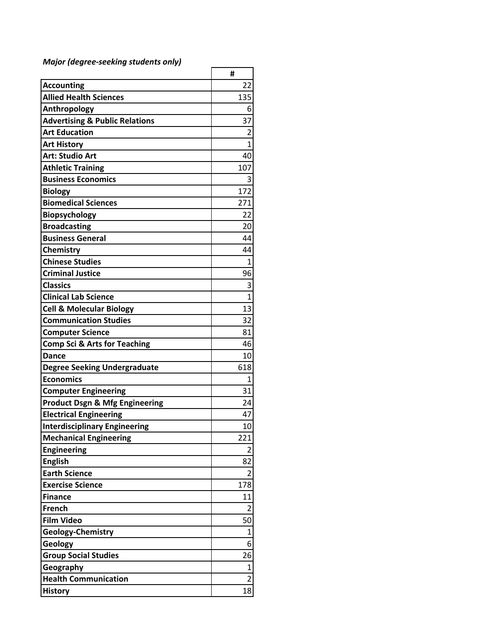# *Major (degree‐seeking students only)*

|                                           | #              |
|-------------------------------------------|----------------|
| <b>Accounting</b>                         | 22             |
| <b>Allied Health Sciences</b>             | 135            |
| Anthropology                              | 6              |
| <b>Advertising &amp; Public Relations</b> | 37             |
| <b>Art Education</b>                      | $\overline{2}$ |
| <b>Art History</b>                        | 1              |
| <b>Art: Studio Art</b>                    | 40             |
| <b>Athletic Training</b>                  | 107            |
| <b>Business Economics</b>                 | 3              |
| <b>Biology</b>                            | 172            |
| <b>Biomedical Sciences</b>                | 271            |
| Biopsychology                             | 22             |
| <b>Broadcasting</b>                       | 20             |
| <b>Business General</b>                   | 44             |
| Chemistry                                 | 44             |
| <b>Chinese Studies</b>                    | 1              |
| <b>Criminal Justice</b>                   | 96             |
| <b>Classics</b>                           | 3              |
| <b>Clinical Lab Science</b>               | $\overline{1}$ |
| <b>Cell &amp; Molecular Biology</b>       | 13             |
| <b>Communication Studies</b>              | 32             |
| <b>Computer Science</b>                   | 81             |
| <b>Comp Sci &amp; Arts for Teaching</b>   | 46             |
| Dance                                     | 10             |
| <b>Degree Seeking Undergraduate</b>       | 618            |
| <b>Economics</b>                          | 1              |
| <b>Computer Engineering</b>               | 31             |
| <b>Product Dsgn &amp; Mfg Engineering</b> | 24             |
| <b>Electrical Engineering</b>             | 47             |
| <b>Interdisciplinary Engineering</b>      | 10             |
| <b>Mechanical Engineering</b>             | 221            |
| <b>Engineering</b>                        | 2              |
| <b>English</b>                            | 82             |
| <b>Earth Science</b>                      | 2              |
| <b>Exercise Science</b>                   | 178            |
| <b>Finance</b>                            | 11             |
| <b>French</b>                             | $\overline{2}$ |
| <b>Film Video</b>                         | 50             |
| Geology-Chemistry                         | 1              |
| Geology                                   | 6              |
| <b>Group Social Studies</b>               | 26             |
| Geography                                 | 1              |
| <b>Health Communication</b>               | $\overline{2}$ |
| <b>History</b>                            | 18             |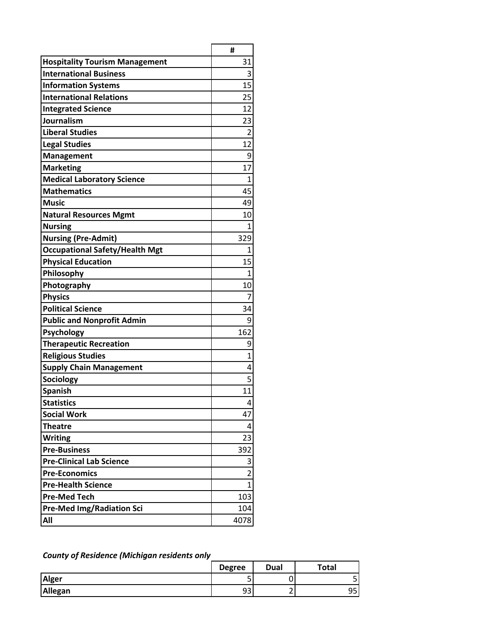|                                       | #              |
|---------------------------------------|----------------|
| <b>Hospitality Tourism Management</b> | 31             |
| <b>International Business</b>         | 3              |
| <b>Information Systems</b>            | 15             |
| <b>International Relations</b>        | 25             |
| <b>Integrated Science</b>             | 12             |
| Journalism                            | 23             |
| <b>Liberal Studies</b>                | $\overline{2}$ |
| <b>Legal Studies</b>                  | 12             |
| <b>Management</b>                     | 9              |
| <b>Marketing</b>                      | 17             |
| <b>Medical Laboratory Science</b>     | 1              |
| <b>Mathematics</b>                    | 45             |
| <b>Music</b>                          | 49             |
| <b>Natural Resources Mgmt</b>         | 10             |
| <b>Nursing</b>                        | $\mathbf{1}$   |
| <b>Nursing (Pre-Admit)</b>            | 329            |
| <b>Occupational Safety/Health Mgt</b> | 1              |
| <b>Physical Education</b>             | 15             |
| Philosophy                            | $\mathbf{1}$   |
| Photography                           | 10             |
| <b>Physics</b>                        | 7              |
| <b>Political Science</b>              | 34             |
| <b>Public and Nonprofit Admin</b>     | 9              |
| <b>Psychology</b>                     | 162            |
| <b>Therapeutic Recreation</b>         | 9              |
| <b>Religious Studies</b>              | $\overline{1}$ |
| <b>Supply Chain Management</b>        | 4              |
| Sociology                             | 5              |
| <b>Spanish</b>                        | 11             |
| <b>Statistics</b>                     | 4              |
| <b>Social Work</b>                    | 47             |
| <b>Theatre</b>                        | 4              |
| <b>Writing</b>                        | 23             |
| <b>Pre-Business</b>                   | 392            |
| <b>Pre-Clinical Lab Science</b>       | 3              |
| <b>Pre-Economics</b>                  | $\overline{2}$ |
| <b>Pre-Health Science</b>             | $\mathbf{1}$   |
| <b>Pre-Med Tech</b>                   | 103            |
| <b>Pre-Med Img/Radiation Sci</b>      | 104            |
| All                                   | 4078           |

*County of Residence (Michigan residents only*

|              | <b>Degree</b> | Dual | Total |
|--------------|---------------|------|-------|
| <b>Alger</b> | ـ             |      |       |
| Allegan      | 93            |      | ວມ    |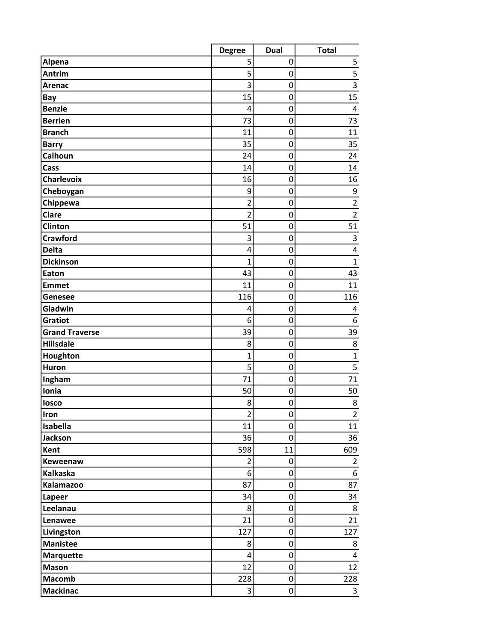|                       | <b>Degree</b>  | <b>Dual</b>      | <b>Total</b>                         |
|-----------------------|----------------|------------------|--------------------------------------|
| Alpena                | 5              | $\mathbf 0$      | 5                                    |
| <b>Antrim</b>         | 5              | $\mathbf 0$      | $\overline{\overline{\overline{5}}}$ |
| Arenac                | 3              | $\mathbf 0$      | $\overline{3}$                       |
| Bay                   | 15             | $\mathbf 0$      | 15                                   |
| <b>Benzie</b>         | 4              | $\mathbf 0$      | $\overline{4}$                       |
| <b>Berrien</b>        | 73             | 0                | 73                                   |
| <b>Branch</b>         | 11             | $\mathbf 0$      | 11                                   |
| <b>Barry</b>          | 35             | $\mathbf 0$      | 35                                   |
| Calhoun               | 24             | $\mathbf 0$      | 24                                   |
| Cass                  | 14             | $\mathbf 0$      | 14                                   |
| Charlevoix            | 16             | $\mathbf 0$      | 16                                   |
| Cheboygan             | 9              | $\mathbf 0$      | $\boldsymbol{9}$                     |
| Chippewa              | $\overline{2}$ | $\mathbf 0$      | $\overline{c}$                       |
| Clare                 | $\overline{2}$ | $\mathbf 0$      | $\overline{2}$                       |
| Clinton               | 51             | 0                | 51                                   |
| <b>Crawford</b>       | 3              | $\mathbf 0$      | 3                                    |
| <b>Delta</b>          | 4              | $\mathbf 0$      | $\overline{\mathbf{4}}$              |
| <b>Dickinson</b>      | $\mathbf{1}$   | 0                | $\mathbf{1}$                         |
| Eaton                 | 43             | 0                | 43                                   |
| <b>Emmet</b>          | 11             | $\boldsymbol{0}$ | 11                                   |
| Genesee               | 116            | $\mathbf 0$      | 116                                  |
| Gladwin               | 4              | $\overline{0}$   | $\overline{4}$                       |
| <b>Gratiot</b>        | 6              | $\mathbf 0$      | 6                                    |
| <b>Grand Traverse</b> | 39             | $\boldsymbol{0}$ | 39                                   |
| <b>Hillsdale</b>      | 8              | $\mathbf 0$      | 8                                    |
| Houghton              | $\mathbf{1}$   | $\boldsymbol{0}$ | $\mathbf{1}$                         |
| <b>Huron</b>          | 5<br>71        | $\mathbf 0$      | 5<br>71                              |
| Ingham<br>Ionia       | 50             | $\mathbf 0$<br>0 |                                      |
| losco                 | 8              | 0                | 50<br>8                              |
| Iron                  | $\overline{2}$ | 0                | $\overline{2}$                       |
| Isabella              | 11             | $\boldsymbol{0}$ | 11                                   |
| Jackson               | 36             | $\boldsymbol{0}$ | 36                                   |
| Kent                  | 598            | 11               | 609                                  |
| Keweenaw              | $\overline{2}$ | $\boldsymbol{0}$ | $\overline{2}$                       |
| Kalkaska              | 6              | $\boldsymbol{0}$ | $\boldsymbol{6}$                     |
| Kalamazoo             | 87             | $\boldsymbol{0}$ | 87                                   |
| Lapeer                | 34             | $\pmb{0}$        | 34                                   |
| Leelanau              | 8              | $\boldsymbol{0}$ | 8                                    |
| Lenawee               | 21             | 0                | 21                                   |
| Livingston            | 127            | 0                | 127                                  |
| <b>Manistee</b>       | 8              | 0                | 8                                    |
| <b>Marquette</b>      | 4              | 0                | $\pmb{4}$                            |
| <b>Mason</b>          | 12             | $\boldsymbol{0}$ | 12                                   |
| <b>Macomb</b>         | 228            | $\boldsymbol{0}$ | 228                                  |
| <b>Mackinac</b>       | 3              | 0                | $\mathsf 3$                          |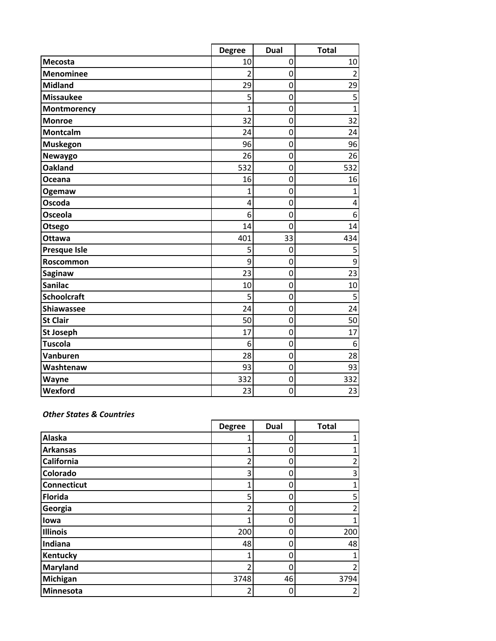|                     | <b>Degree</b>  | <b>Dual</b>    | <b>Total</b>   |
|---------------------|----------------|----------------|----------------|
| <b>Mecosta</b>      | 10             | $\mathbf 0$    | 10             |
| <b>Menominee</b>    | $\overline{2}$ | $\mathbf 0$    | $\overline{2}$ |
| <b>Midland</b>      | 29             | $\overline{0}$ | 29             |
| <b>Missaukee</b>    | 5              | $\mathbf 0$    | 5              |
| Montmorency         | 1              | $\mathbf 0$    | $\overline{1}$ |
| <b>Monroe</b>       | 32             | $\mathbf 0$    | 32             |
| <b>Montcalm</b>     | 24             | $\overline{0}$ | 24             |
| <b>Muskegon</b>     | 96             | $\mathbf 0$    | 96             |
| <b>Newaygo</b>      | 26             | $\mathbf 0$    | 26             |
| <b>Oakland</b>      | 532            | $\mathbf 0$    | 532            |
| Oceana              | 16             | $\mathbf 0$    | 16             |
| Ogemaw              | 1              | $\overline{0}$ | 1              |
| Oscoda              | 4              | $\mathbf 0$    | 4              |
| <b>Osceola</b>      | 6              | $\mathbf 0$    | 6              |
| Otsego              | 14             | $\overline{0}$ | 14             |
| <b>Ottawa</b>       | 401            | 33             | 434            |
| <b>Presque Isle</b> | 5              | 0              | 5              |
| <b>Roscommon</b>    | 9              | $\overline{0}$ | 9              |
| <b>Saginaw</b>      | 23             | $\mathbf 0$    | 23             |
| <b>Sanilac</b>      | 10             | $\mathbf 0$    | 10             |
| <b>Schoolcraft</b>  | 5              | $\overline{0}$ | 5              |
| <b>Shiawassee</b>   | 24             | $\overline{0}$ | 24             |
| <b>St Clair</b>     | 50             | $\mathbf 0$    | 50             |
| <b>St Joseph</b>    | 17             | $\overline{0}$ | 17             |
| <b>Tuscola</b>      | 6              | $\overline{0}$ | 6              |
| Vanburen            | 28             | $\mathbf 0$    | 28             |
| Washtenaw           | 93             | $\overline{0}$ | 93             |
| Wayne               | 332            | $\mathbf 0$    | 332            |
| Wexford             | 23             | $\overline{0}$ | 23             |

#### *Other States & Countries*

|                    | <b>Degree</b> | Dual | <b>Total</b>   |
|--------------------|---------------|------|----------------|
| <b>Alaska</b>      | 1             |      | 1              |
| <b>Arkansas</b>    | 1             |      | 1              |
| <b>California</b>  | 2             |      | $\overline{2}$ |
| <b>Colorado</b>    | 3             |      | 3              |
| <b>Connecticut</b> | 1             |      | 1              |
| Florida            | 5             | 0    | 5              |
| Georgia            | 2             |      | $\overline{2}$ |
| lowa               | 1             | 0    | 1              |
| <b>Illinois</b>    | 200           |      | 200            |
| Indiana            | 48            | ი    | 48             |
| <b>Kentucky</b>    | 1             |      | 1              |
| <b>Maryland</b>    | 2             | ი    | $\overline{2}$ |
| <b>Michigan</b>    | 3748          | 46   | 3794           |
| <b>Minnesota</b>   | 2             |      | 2              |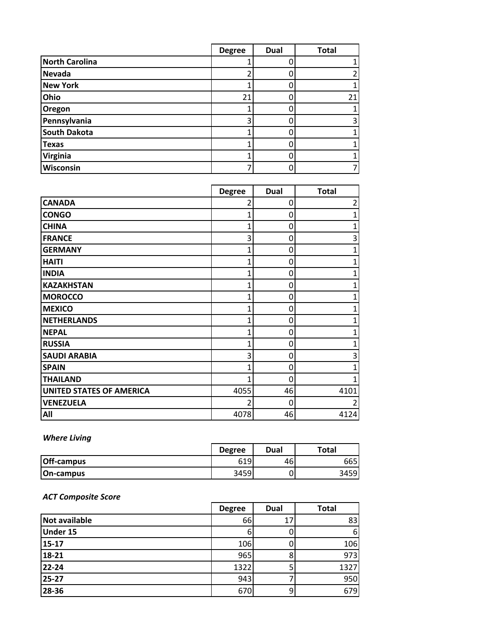|                       | <b>Degree</b> | Dual | <b>Total</b> |
|-----------------------|---------------|------|--------------|
| <b>North Carolina</b> |               |      |              |
| <b>Nevada</b>         |               |      |              |
| <b>New York</b>       |               |      |              |
| Ohio                  | 21            |      | 21           |
| Oregon                |               |      |              |
| Pennsylvania          |               |      | 3            |
| <b>South Dakota</b>   |               |      |              |
| <b>Texas</b>          |               |      |              |
| Virginia              |               |      |              |
| Wisconsin             |               |      |              |

|                                 | <b>Degree</b> | Dual     | <b>Total</b>   |
|---------------------------------|---------------|----------|----------------|
| <b>CANADA</b>                   | 2             | 0        | $\overline{2}$ |
| <b>CONGO</b>                    | 1             | 0        | $\mathbf{1}$   |
| <b>CHINA</b>                    |               | $\Omega$ | $\mathbf{1}$   |
| <b>FRANCE</b>                   | 3             | 0        | 3              |
| <b>GERMANY</b>                  |               | 0        | $\mathbf{1}$   |
| <b>HAITI</b>                    | 1             | 0        | $\mathbf 1$    |
| <b>INDIA</b>                    |               | 0        | $\mathbf{1}$   |
| <b>KAZAKHSTAN</b>               | 1             | 0        | $\mathbf{1}$   |
| <b>MOROCCO</b>                  |               | 0        | $\mathbf{1}$   |
| <b>MEXICO</b>                   |               | 0        | 1              |
| <b>NETHERLANDS</b>              | 1             | $\Omega$ | 1              |
| <b>NEPAL</b>                    | 1             | 0        | $\mathbf{1}$   |
| <b>RUSSIA</b>                   | 1             | 0        | $\mathbf{1}$   |
| <b>SAUDI ARABIA</b>             | 3             | 0        | 3              |
| <b>SPAIN</b>                    | 1             | 0        | $\mathbf{1}$   |
| <b>THAILAND</b>                 |               | 0        | 1              |
| <b>UNITED STATES OF AMERICA</b> | 4055          | 46       | 4101           |
| <b>VENEZUELA</b>                | 2             | $\Omega$ | $\overline{2}$ |
| All                             | 4078          | 46       | 4124           |

# *Where Living*

|                   | <b>Degree</b> | Dual | Total |
|-------------------|---------------|------|-------|
| <b>Off-campus</b> | 619'          | 46   | 665   |
| <b>On-campus</b>  | 3459          |      | 34591 |

#### *ACT Composite Score*

|                      | <b>Degree</b> | Dual | <b>Total</b> |
|----------------------|---------------|------|--------------|
| <b>Not available</b> | 66            | 17   | 83           |
| <b>Under 15</b>      |               |      | 6            |
| $15 - 17$            | 106           |      | 106          |
| 18-21                | 965           |      | 973          |
| 22-24                | 1322          |      | 1327         |
| 25-27                | 943           |      | 950          |
| 28-36                | 670           |      | 679          |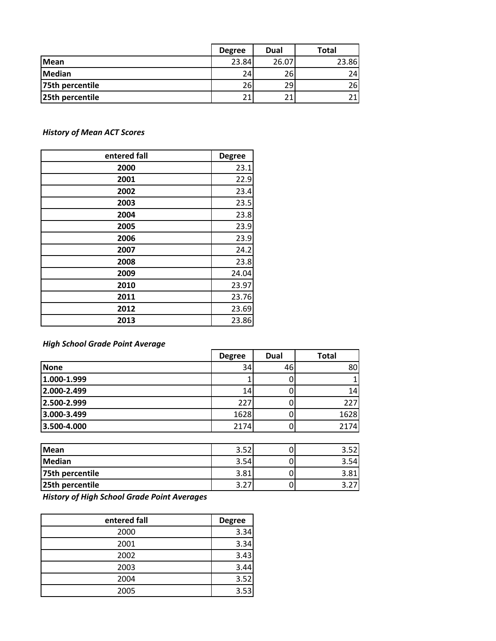|                 | <b>Degree</b> | <b>Dual</b> | <b>Total</b> |
|-----------------|---------------|-------------|--------------|
| <b>IMean</b>    | 23.84         | 26.07       | 23.86        |
| Median          | 24            | 26          | 24           |
| 75th percentile | 26            | 29          | 26           |
| 25th percentile | 21            | 21          |              |

*History of Mean ACT Scores*

| entered fall | <b>Degree</b> |
|--------------|---------------|
| 2000         | 23.1          |
| 2001         | 22.9          |
| 2002         | 23.4          |
| 2003         | 23.5          |
| 2004         | 23.8          |
| 2005         | 23.9          |
| 2006         | 23.9          |
| 2007         | 24.2          |
| 2008         | 23.8          |
| 2009         | 24.04         |
| 2010         | 23.97         |
| 2011         | 23.76         |
| 2012         | 23.69         |
| 2013         | 23.86         |

# *High School Grade Point Average*

|                   | <b>Degree</b> | <b>Dual</b> | <b>Total</b> |
|-------------------|---------------|-------------|--------------|
| <b>None</b>       | 34            | 46          | 80           |
| 1.000-1.999       |               |             |              |
| $ 2.000 - 2.499 $ | 14            |             | 14           |
| 2.500-2.999       | 227           |             | 227          |
| 3.000-3.499       | 1628          |             | 1628         |
| 3.500-4.000       | 2174          |             | 2174         |

| <b>Mean</b>     | 3.52          |           |
|-----------------|---------------|-----------|
| Median          | 3.54          | 3.541     |
| 75th percentile | 3.81          | $\n 21\n$ |
| 25th percentile | $\mathcal{D}$ |           |

*History of High School Grade Point Averages*

| entered fall | <b>Degree</b> |
|--------------|---------------|
| 2000         | 3.34          |
| 2001         | 3.34          |
| 2002         | 3.43          |
| 2003         | 3.44          |
| 2004         | 3.52          |
| 2005         | 3.53          |